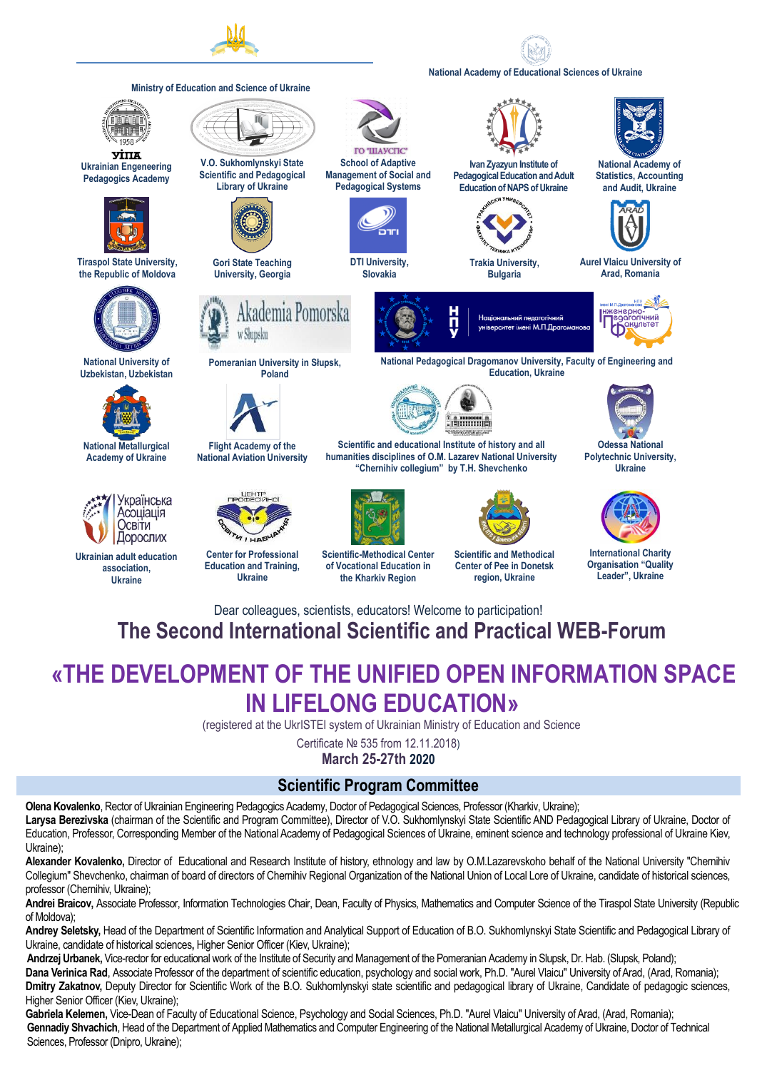

#### **National Academy of Educational Sciences of Ukraine**



# **The Second International Scientific and Practical WEB-Forum**

## **«THE DEVELOPMENT OF THE UNIFIED OPEN INFORMATION SPACE IN LIFELONG EDUCATION»**

(registered at the UkrISTEI system of Ukrainian Ministry of Education and Science

Certificate № 535 from 12.11.2018)

**March 25-27th 2020**

#### **Scientific Program Committee**

**Olena Kovalenko**, Rector of Ukrainian Engineering Pedagogics Academy, Doctor of Pedagogical Sciences, Professor (Kharkiv, Ukraine); Larysa Bereziyska (chairman of the Scientific and Program Committee), Director of V.O. Sukhomlynskyi State Scientific AND Pedagogical Library of Ukraine, Doctor of Education, Professor, Corresponding Member of the National Academy of Pedagogical Sciences of Ukraine, eminent science and technology professional of Ukraine Kiev, Ukraine);

**Alexander Kovalenko,** Director of Educational and Research Institute of history, ethnology and law by O.M.Lazarevskoho behalf of the National University "Chernihiv Collegium" Shevchenko, chairman of board of directors of Chernihiv Regional Organization of the National Union of Local Lore of Ukraine, candidate of historical sciences, professor (Chernihiv, Ukraine);

**Andrei Braicov,** Associate Professor, Information Technologies Chair, Dean, Faculty of Physics, Mathematics and Computer Science of the Tiraspol State University (Republic of Moldova);

**Andrey Seletsky,** Head of the Department of Scientific Information and Analytical Support of Education of В.О. Sukhomlynskyi State Scientific and Pedagogical Library of Ukraine, candidate of historical sciences**,** Higher Senior Officer (Kiev, Ukraine);

**Andrzej Urbanek,** Vice-rector for educational work of the Institute of Security and Management of the Pomeranian Academy in Slupsk, Dr. Hab. (Slupsk, Poland); **Dana Verinica Rad**, Associate Professor of the department of scientific education, psychology and social work, Ph.D. "Aurel Vlaicu" University of Arad, (Arad, Romania); **Dmitry Zakatnov, Deputy Director for Scientific Work of the B.O. Sukhomlynskyi state scientific and pedagogical library of Ukraine, Candidate of pedagogic sciences,** Higher Senior Officer (Kiev, Ukraine);

Gabriela Kelemen, Vice-Dean of Faculty of Educational Science, Psychology and Social Sciences, Ph.D. "Aurel Vlaicu" University of Arad, (Arad, Romania); Gennadiy Shvachich, Head of the Department of Applied Mathematics and Computer Engineering of the National Metallurgical Academy of Ukraine, Doctor of Technical Sciences, Professor (Dnipro, Ukraine);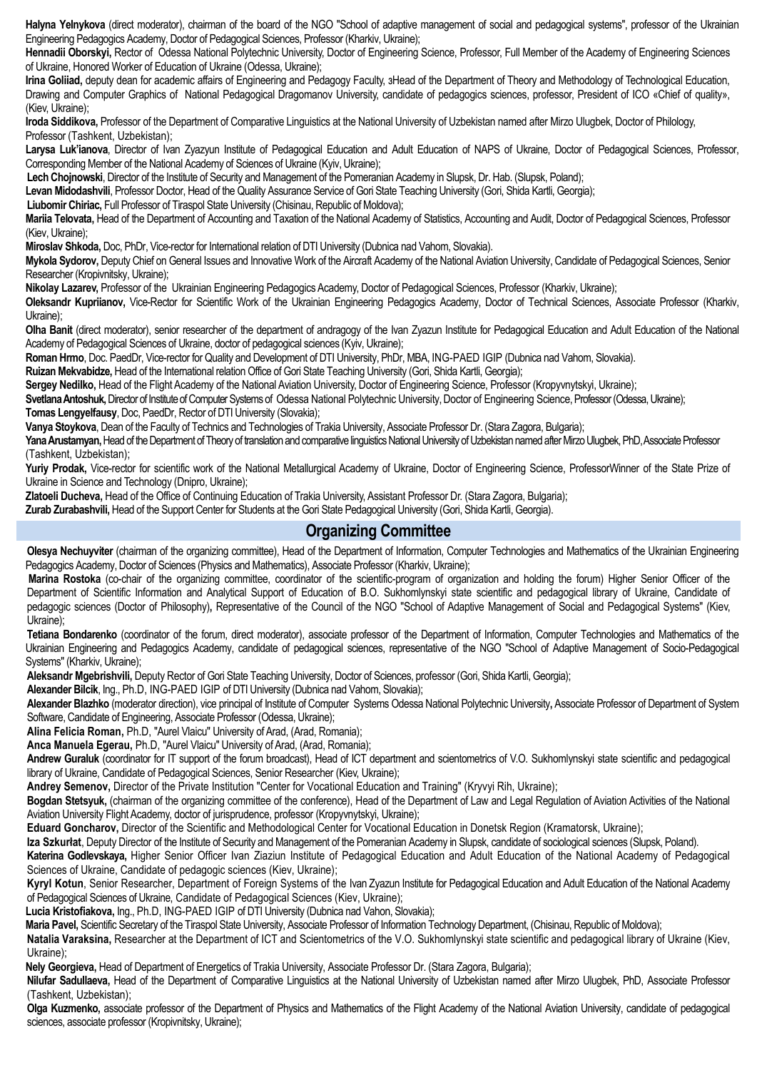Halyna Yelnykova (direct moderator), chairman of the board of the NGO "School of adaptive management of social and pedagogical systems", professor of the Ukrainian Engineering Pedagogics Academy, Doctor of Pedagogical Sciences, Professor (Kharkiv, Ukraine);

**Hennadii Oborskyi,** Rector of Odessa National Polytechnic University, Doctor of Engineering Science, Professor, Full Member of the Academy of Engineering Sciences of Ukraine, Honored Worker of Education of Ukraine (Odessa, Ukraine);

Irina Goliiad, deputy dean for academic affairs of Engineering and Pedagogy Faculty, 3Head of the Department of Theory and Methodology of Technological Education, Drawing and Computer Graphics of National Pedagogical Dragomanov University, candidate of pedagogics sciences, professor, President of ICO «Chief of quality», (Kiev, Ukraine);

**Iroda Siddikova,** Professor of the Department of Comparative Linguistics at the National University of Uzbekistan named after Mirzo Ulugbek, Doctor of Philology, Professor (Tashkent, Uzbekistan);

**Larysa Luk'ianova**, Director of Ivan Zyazyun Institute of Pedagogical Education and Adult Education of NAPS of Ukraine, Doctor of Pedagogical Sciences, Professor, Corresponding Member of the National Academy of Sciences of Ukraine (Kyiv, Ukraine);

**Lech Chojnowski**, Director of the Institute of Security and Management of the Pomeranian Academy in Slupsk, Dr. Hab. (Slupsk, Poland);

**Levan Midodashvili**, Professor Doctor, Head of the Quality Assurance Service of Gori State Teaching University (Gori, Shida Kartli, Georgia);

**Liubomir Chiriac,** Full Professor of Tiraspol State University (Chisinau, Republic of Moldova);

**Mariia Telovata,** Head of the Department of Accounting and Taxation of the National Academy of Statistics, Accounting and Audit, Doctor of Pedagogical Sciences, Professor (Kiev, Ukraine);

**Miroslav Shkoda,** Doc, PhDr, Vice-rector for International relation of DTI University (Dubnica nad Vahom, Slovakia).

**Mykola Sydorov,** Deputy Chief on General Issues and Innovative Work of the Aircraft Academy of the National Aviation University, Candidate of Pedagogical Sciences, Senior Researcher (Kropivnitsky, Ukraine);

**Nikolay Lazarev,** Professor of the Ukrainian Engineering Pedagogics Academy, Doctor of Pedagogical Sciences, Professor (Kharkiv, Ukraine);

**Oleksandr Kupriianov,** Vice-Rector for Scientific Work of the Ukrainian Engineering Pedagogics Academy, Doctor of Technical Sciences, Associate Professor (Kharkiv, Ukraine);

**Olha Banit** (direct moderator), senior researcher of the department of andragogy of the Ivan Zyazun Institute for Pedagogical Education and Adult Education of the National Academy of Pedagogical Sciences of Ukraine, doctor of pedagogical sciences (Kyiv, Ukraine);

**Roman Hrmo**, Doc. PaedDr, Vice-rector for Quality and Development of DTI University, PhDr, MBA, ING-PAED IGIP (Dubnica nad Vahom, Slovakia).

**Ruizan Mekvabidze,** Head of the International relation Office of Gori State Teaching University (Gori, Shida Kartli, Georgia);

**Sergey Nedilko,** Head of the Flight Academy of the National Aviation University, Doctor of Engineering Science, Professor (Kropyvnytskyi, Ukraine);

**Svetlana Antoshuk, Director of Institute of Computer Systems of Odessa National Polytechnic University, Doctor of Engineering Science, Professor (Odessa, Ukraine); Tomas Lengyelfausy**, Doc, PaedDr, Rector of DTI University (Slovakia);

**Vanya Stoykova**, Dean of the Faculty of Technics and Technologies of Trakia University, Associate Professor Dr. (Stara Zagora, Bulgaria);

Yana Arustamyan, Head of the Department of Theory of translation and comparative linguistics National University of Uzbekistan named after Mirzo Ulugbek, PhD, Associate Professor (Tashkent, Uzbekistan);

Yuriy Prodak, Vice-rector for scientific work of the National Metallurgical Academy of Ukraine, Doctor of Engineering Science, ProfessorWinner of the State Prize of Ukraine in Science and Technology (Dnipro, Ukraine);

**Zlatoeli Ducheva,** Head of the Office of Continuing Education of Trakia University, Assistant Professor Dr. (Stara Zagora, Bulgaria);

**Zurab Zurabashvili,** Head of the Support Center for Students at the Gori State Pedagogical University (Gori, Shida Kartli, Georgia).

### **Organizing Committee**

**Olesya Nechuyviter** (chairman of the organizing committee), Head of the Department of Information, Computer Technologies and Mathematics of the Ukrainian Engineering Pedagogics Academy, Doctor of Sciences (Physics and Mathematics), Associate Professor (Kharkiv, Ukraine);

**Marina Rostoka** (co-chair of the organizing committee, coordinator of the scientific-program of organization and holding the forum) Higher Senior Officer of the Department of Scientific Information and Analytical Support of Education of В.О. Sukhomlynskyi state scientific and pedagogical library of Ukraine, Candidate of pedagogic sciences (Doctor of Philosophy)**,** Representative of the Council of the NGO "School of Adaptive Management of Social and Pedagogical Systems" (Kiev, Ukraine);

**Tetiana Bondarenko** (coordinator of the forum, direct moderator), associate professor of the Department of Information, Computer Technologies and Mathematics of the Ukrainian Engineering and Pedagogics Academy, candidate of pedagogical sciences, representative of the NGO "School of Adaptive Management of Socio-Pedagogical Systems" (Kharkiv, Ukraine);

**Aleksandr Mgebrishvili,** Deputy Rector of Gori State Teaching University, Doctor of Sciences, professor (Gori, Shida Kartli, Georgia);

**Alexander Bilcik**, Ing., Ph.D, ING-PAED IGIP of DTI University (Dubnica nad Vahom, Slovakia);

**Alexander Blazhko** (moderator direction), vice principal of Institute of Computer Systems Odessa National Polytechnic University**,** Associate Professor of Department of System Software, Candidate of Engineering, Associate Professor (Odessa, Ukraine);

**Alina Felicia Roman,** Ph.D, "Aurel Vlaicu" University of Arad, (Arad, Romania);

**Anca Manuela Egerau,** Ph.D, "Aurel Vlaicu" University of Arad, (Arad, Romania);

**Andrew Guraluk** (coordinator for IT support of the forum broadcast), Head of ICT department and scientometrics of V.O. Sukhomlynskyi state scientific and pedagogical library of Ukraine, Candidate of Pedagogical Sciences, Senior Researcher (Kiev, Ukraine);

**Andrey Semenov,** Director of the Private Institution "Center for Vocational Education and Training" (Kryvyi Rih, Ukraine);

**Bogdan Stetsyuk,** (chairman of the organizing committee of the conference), Head of the Department of Law and Legal Regulation of Aviation Activities of the National Aviation University Flight Academy, doctor of jurisprudence, professor (Kropyvnytskyi, Ukraine);

**Eduard Goncharov,** Director of the Scientific and Methodological Center for Vocational Education in Donetsk Region (Kramatorsk, Ukraine);

**Iza Szkurłat**, Deputy Director of the Institute of Security and Management of the Pomeranian Academy in Slupsk, candidate of sociological sciences (Slupsk, Poland).

**Katerina Godlevskaya,** Higher Senior Officer Ivan Ziaziun Institute of Pedagogical Education and Adult Education of the National Academy of Pedagogical Sciences of Ukraine, Candidate of pedagogic sciences (Kiev, Ukraine);

**Kyryl Kotun**, Senior Researcher, Department of Foreign Systems of the Ivan Zyazun Institute for Pedagogical Education and Adult Education of the National Academy of Pedagogical Sciences of Ukraine, Candidate of Pedagogical Sciences (Kiev, Ukraine);

**Lucia Kristofiakova,** Ing., Ph.D, ING-PAED IGIP of DTI University (Dubnica nad Vahon, Slovakia);

**Maria Pavel,** Scientific Secretary of the Tiraspol State University, Associate Professor of Information Technology Department, (Chisinau, Republic of Moldova);

**Natalia Varaksina,** Researcher at the Department of ICT and Scientometrics of the V.O. Sukhomlynskyi state scientific and pedagogical library of Ukraine (Kiev, Ukraine);

**Nely Georgieva,** Head of Department of Energetics of Trakia University, Associate Professor Dr. (Stara Zagora, Bulgaria);

**Nilufar Sadullaeva,** Head of the Department of Comparative Linguistics at the National University of Uzbekistan named after Mirzo Ulugbek, PhD, Associate Professor (Tashkent, Uzbekistan);

**Olga Kuzmenko,** associate professor of the Department of Physics and Mathematics of the Flight Academy of the National Aviation University, candidate of pedagogical sciences, associate professor (Kropivnitsky, Ukraine);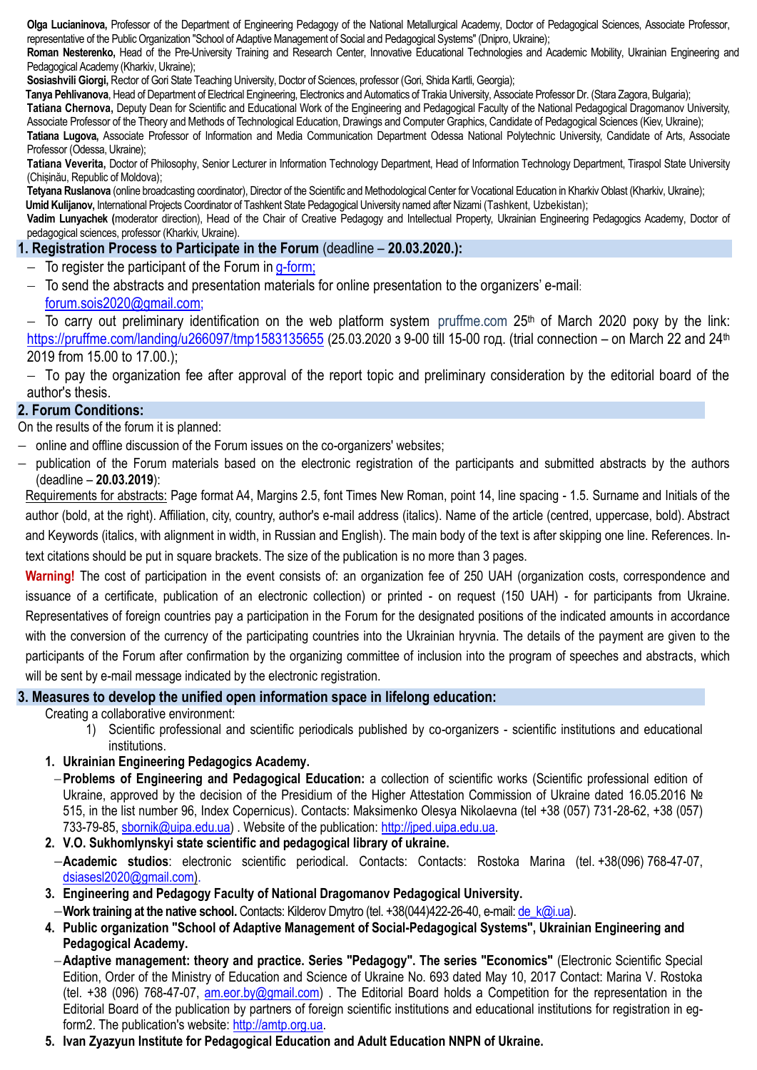**Olga Lucianinova,** Professor of the Department of Engineering Pedagogy of the National Metallurgical Academy, Doctor of Pedagogical Sciences, Associate Professor, representative of the Public Organization "School of Adaptive Management of Social and Pedagogical Systems" (Dnipro, Ukraine);

**Roman Nesterenko,** Head of the Pre-University Training and Research Center, Innovative Educational Technologies and Academic Mobility, Ukrainian Engineering and Pedagogical Academy (Kharkiv, Ukraine);

**Sosiashvili Giorgi,** Rector of Gori State Teaching University, Doctor of Sciences, professor (Gori, Shida Kartli, Georgia);

**Tanya Pehlivanova**, Head of Department of Electrical Engineering, Electronics and Automatics of Trakia University, Associate Professor Dr. (Stara Zagora, Bulgaria);

**Tatiana Chernova,** Deputy Dean for Scientific and Educational Work of the Engineering and Pedagogical Faculty of the National Pedagogical Dragomanov University, Associate Professor of the Theory and Methods of Technological Education, Drawings and Computer Graphics, Candidate of Pedagogical Sciences (Kiev, Ukraine);

**Tatiana Lugova,** Associate Professor of Information and Media Communication Department Odessa National Polytechnic University, Candidate of Arts, Associate Professor (Odessa, Ukraine);

**Tatiana Veverita,** Doctor of Philosophy, Senior Lecturer in Information Technology Department, Head of Information Technology Department, Tiraspol State University (Chișinău, Republic of Moldova);

Tetyana Ruslanova (online broadcasting coordinator), Director of the Scientific and Methodological Center for Vocational Education in Kharkiv Oblast (Kharkiv, Ukraine);

**Umid Kulijanov,** International Projects Coordinator of Tashkent State Pedagogical University named after Nizami (Tashkent, Uzbekistan);

**Vadim Lunyachek (**moderator direction), Head of the Chair of Creative Pedagogy and Intellectual Property, Ukrainian Engineering Pedagogics Academy, Doctor of pedagogical sciences, professor (Kharkiv, Ukraine).

#### **1. Registration Process to Participate in the Forum** (deadline – **20.03.2020.):**

- $-$  To register the participant of the Forum in [g-form;](https://docs.google.com/forms/d/e/1FAIpQLSdgSV4NxOY6hfHdgVgieTBA0gA_1T2VsvEJ1NnCWkUF2d8b5w/viewform)
- $-$  To send the abstracts and presentation materials for online presentation to the organizers' e-mail: [forum.sois2020@gmail.com;](mailto:forum.sois2020@gmail.com)

– To carry out preliminary identification on the web platform system pruffme.com 25<sup>th</sup> of March 2020 poky by the link: <https://pruffme.com/landing/u266097/tmp1583135655> (25.03.2020 з 9-00 till 15-00 год. (trial connection – on March 22 and 24<sup>th</sup> 2019 from 15.00 to 17.00.);

 $-$  To pay the organization fee after approval of the report topic and preliminary consideration by the editorial board of the author's thesis.

#### **2. Forum Conditions:**

On the results of the forum it is planned:

- online and offline discussion of the Forum issues on the co-organizers' websites:
- publication of the Forum materials based on the electronic registration of the participants and submitted abstracts by the authors (deadline – **20.03.2019**):

Requirements for abstracts: Page format A4, Margins 2.5, font Times New Roman, point 14, line spacing - 1.5. Surname and Initials of the author (bold, at the right). Affiliation, city, country, author's e-mail address (italics). Name of the article (centred, uppercase, bold). Abstract and Keywords (italics, with alignment in width, in Russian and English). The main body of the text is after skipping one line. References. Intext citations should be put in square brackets. The size of the publication is no more than 3 pages.

**Warning!** The cost of participation in the event consists of: an organization fee of 250 UAH (organization costs, correspondence and issuance of a certificate, publication of an electronic collection) or printed - on request (150 UAH) - for participants from Ukraine. Representatives of foreign countries pay a participation in the Forum for the designated positions of the indicated amounts in accordance with the conversion of the currency of the participating countries into the Ukrainian hryvnia. The details of the payment are given to the participants of the Forum after confirmation by the organizing committee of inclusion into the program of speeches and abstracts, which will be sent by e-mail message indicated by the electronic registration.

#### **3. Measures to develop the unified open information space in lifelong education:**

Creating a collaborative environment:

- 1) Scientific professional and scientific periodicals published by co-organizers scientific institutions and educational institutions.
- **1. Ukrainian Engineering Pedagogics Academy.**
	- **Problems of Engineering and Pedagogical Education:** a collection of scientific works (Scientific professional edition of Ukraine, approved by the decision of the Presidium of the Higher Attestation Commission of Ukraine dated 16.05.2016 № 515, in the list number 96, Index Copernicus). Contacts: Maksimenko Olesya Nikolaevna (tel +38 (057) 731-28-62, +38 (057) 733-79-85, [sbornik@uipa.edu.ua\)](mailto:sbornik@uipa.edu.ua) . Website of the publication: [http://jped.uipa.edu.ua.](http://jped.uipa.edu.ua/)
- **2. V.O. Sukhomlynskyi state scientific and pedagogical library of ukraine.**
- **Academic studios**: electronic scientific periodical. Contacts: Contacts: Rostoka Marina (tel. +38(096) 768-47-07, [dsiasesl2020@gmail.com\)](mailto:dsiasesl2020@gmail.com).
- **3. Engineering and Pedagogy Faculty of National Dragomanov Pedagogical University.**
- **Work training at the native school.** Contacts: Kilderov Dmytro (tel. +38(044)422-26-40, е-mail: [de\\_k@i.ua\)](mailto:de_k@i.ua).
- **4. Public organization "School of Adaptive Management of Social-Pedagogical Systems", Ukrainian Engineering and Pedagogical Academy.**
- **Adaptive management: theory and practice. Series "Pedagogy". The series "Economics"** (Electronic Scientific Special Edition, Order of the Ministry of Education and Science of Ukraine No. 693 dated May 10, 2017 Contact: Marina V. Rostoka (tel. +38 (096) 768-47-07, [am.eor.by@gmail.com\)](mailto:am.eor.by@gmail.com). The Editorial Board holds a Competition for the representation in the Editorial Board of the publication by partners of foreign scientific institutions and educational institutions for registration in egform2. The publication's website: [http://amtp.org.ua.](http://amtp.org.ua/)
- **5. Ivan Zyazyun Institute for Pedagogical Education and Adult Education NNPN of Ukraine.**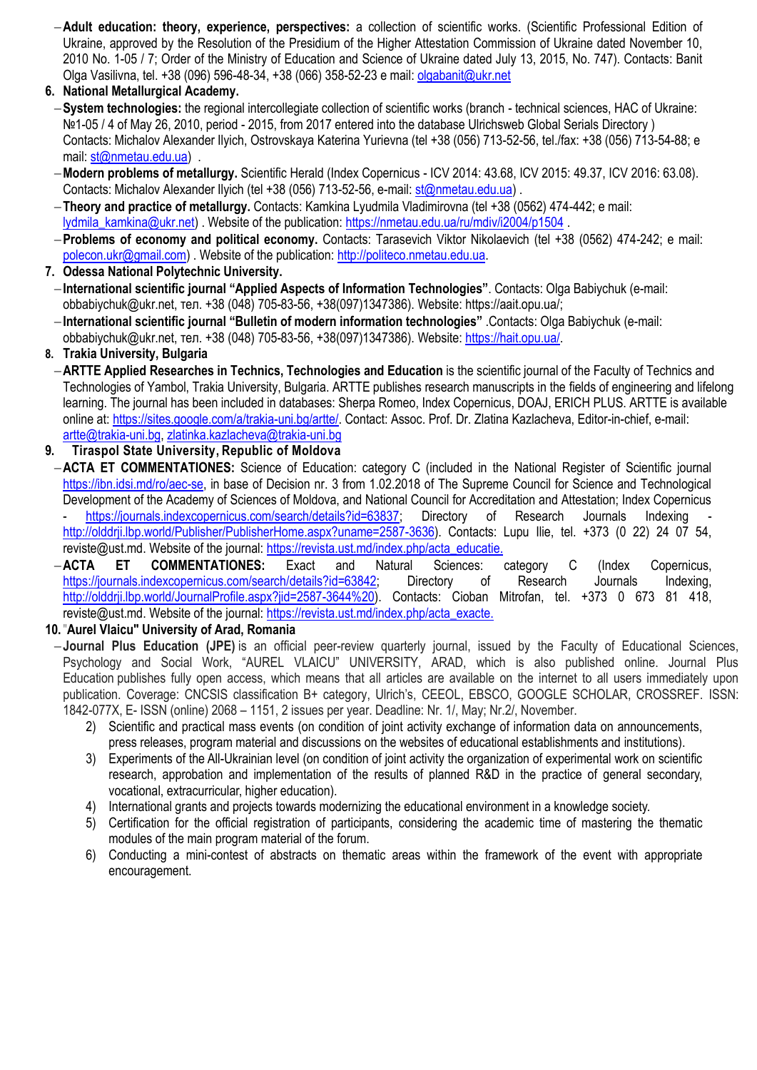**Adult education: theory, experience, perspectives:** a collection of scientific works. (Scientific Professional Edition of Ukraine, approved by the Resolution of the Presidium of the Higher Attestation Commission of Ukraine dated November 10, 2010 No. 1-05 / 7; Order of the Ministry of Education and Science of Ukraine dated July 13, 2015, No. 747). Contacts: Banit Olga Vasilivna, tel. +38 (096) 596-48-34, +38 (066) 358-52-23 e mail: [olgabanit@ukr.net](mailto:olgabanit@ukr.net)

**6. National Metallurgical Academy.**

- **System technologies:** the regional intercollegiate collection of scientific works (branch technical sciences, HAC of Ukraine: №1-05 / 4 of May 26, 2010, period - 2015, from 2017 entered into the database Ulrichsweb Global Serials Directory ) Contacts: Michalov Alexander Ilyich, Ostrovskaya Katerina Yurievna (tel +38 (056) 713-52-56, tel./fax: +38 (056) 713-54-88; e mail: [st@nmetau.edu.ua\)](mailto:st@nmetau.edu.ua) .
- **Modern problems of metallurgy.** Scientific Herald (Index Copernicus ICV 2014: 43.68, ICV 2015: 49.37, ICV 2016: 63.08). Contacts: Michalov Alexander Ilyich (tel +38 (056) 713-52-56, e-mail[: st@nmetau.edu.ua\)](mailto:st@nmetau.edu.ua).
- **Theory and practice of metallurgy.** Contacts: Kamkina Lyudmila Vladimirovna (tel +38 (0562) 474-442; e mail: [lydmila\\_kamkina@ukr.net\)](mailto:lydmila_kamkina@ukr.net) . Website of the publication:<https://nmetau.edu.ua/ru/mdiv/i2004/p1504> .
- **Problems of economy and political economy.** Contacts: Tarasevich Viktor Nikolaevich (tel +38 (0562) 474-242; e mail: [polecon.ukr@gmail.com\)](mailto:polecon.ukr@gmail.com) . Website of the publication: [http://politeco.nmetau.edu.ua.](http://politeco.nmetau.edu.ua/)
- **7. Odessa National Polytechnic University.**
- **International scientific journal "Applied Aspects of Information Technologies"**. Contacts: Olga Babiychuk (е-mail: obbabiychuk@ukr.net, тел. +38 (048) 705-83-56, +38(097)1347386). Website: https://aait.opu.ua/;
- **International scientific journal "Bulletin of modern information technologies"** .Contacts: Olga Babiychuk (е-mail: obbabiychuk@ukr.net, тел. +38 (048) 705-83-56, +38(097)1347386). Website: [https://hait.opu.ua/.](https://hait.opu.ua/)

### **8. Trakia University, Bulgaria**

- **ARTTE Applied Researches in Technics, Technologies and Education** is the scientific journal of the Faculty of Technics and Technologies of Yambol, Trakia University, Bulgaria. ARTTE publishes research manuscripts in the fields of engineering and lifelong learning. The journal has been included in databases: Sherpa Romeo, Index Copernicus, DOAJ, ERICH PLUS. ARTTE is available online at: [https://sites.google.com/a/trakia-uni.bg/artte/.](https://sites.google.com/a/trakia-uni.bg/artte/) Contact: Assoc. Prof. Dr. Zlatina Kazlacheva, Editor-in-chief, e-mail: [artte@trakia-uni.bg,](mailto:artte@trakia-uni.bg) [zlatinka.kazlacheva@trakia-uni.bg](mailto:zlatinka.kazlacheva@trakia-uni.bg)
- **9. Tiraspol State University, Republic of Moldova**
- **ACTA ET COMMENTATIONES:** Science of Education: category C (included in the National Register of Scientific journal [https://ibn.idsi.md/ro/aec-se,](https://ibn.idsi.md/ro/aec-se) in base of Decision nr. 3 from 1.02.2018 of The Supreme Council for Science and Technological Development of the Academy of Sciences of Moldova, and National Council for Accreditation and Attestation; Index Copernicus [https://journals.indexcopernicus.com/search/details?id=63837;](https://journals.indexcopernicus.com/search/details?id=63837) Directory of Research Journals Indexing [http://olddrji.lbp.world/Publisher/PublisherHome.aspx?uname=2587-3636\)](http://olddrji.lbp.world/Publisher/PublisherHome.aspx?uname=2587-3636). Contacts: Lupu Ilie, tel. +373 (0 22) 24 07 54, [reviste@ust.md.](mailto:reviste@ust.md) Website of the journal[: https://revista.ust.md/index.php/acta\\_educatie.](https://revista.ust.md/index.php/acta_educatie)
- **ACTA ET COMMENTATIONES:** Exact and Natural Sciences: category C (Index Copernicus, [https://journals.indexcopernicus.com/search/details?id=63842;](https://journals.indexcopernicus.com/search/details?id=63842) Directory of Research Journals Indexing, http://olddrij.lbp.world/JournalProfile.aspx?jid=2587-3644%20). Contacts: Cioban Mitrofan, tel. +373 0 673 81 418, [reviste@ust.md.](mailto:reviste@ust.md) Website of the journal[: https://revista.ust.md/index.php/acta\\_exacte.](https://revista.ust.md/index.php/acta_exacte)

#### **10.**"**Aurel Vlaicu" University of Arad, Romania**

- **Journal Plus Education (JPE)** is an official peer-review quarterly journal, issued by the Faculty of Educational Sciences, Psychology and Social Work, "AUREL VLAICU" UNIVERSITY, ARAD, which is also published online. Journal Plus Education publishes fully open access, which means that all articles are available on the internet to all users immediately upon publication. Coverage: CNCSIS classification B+ category, Ulrich's, CEEOL, EBSCO, GOOGLE SCHOLAR, CROSSREF. ISSN: 1842-077X, E- ISSN (online) 2068 – 1151, 2 issues per year. Deadline: Nr. 1/, May; Nr.2/, November.
	- 2) Scientific and practical mass events (on condition of joint activity exchange of information data on announcements, press releases, program material and discussions on the websites of educational establishments and institutions).
	- 3) Experiments of the All-Ukrainian level (on condition of joint activity the organization of experimental work on scientific research, approbation and implementation of the results of planned R&D in the practice of general secondary, vocational, extracurricular, higher education).
	- 4) International grants and projects towards modernizing the educational environment in a knowledge society.
	- 5) Certification for the official registration of participants, considering the academic time of mastering the thematic modules of the main program material of the forum.
	- 6) Conducting a mini-contest of abstracts on thematic areas within the framework of the event with appropriate encouragement.